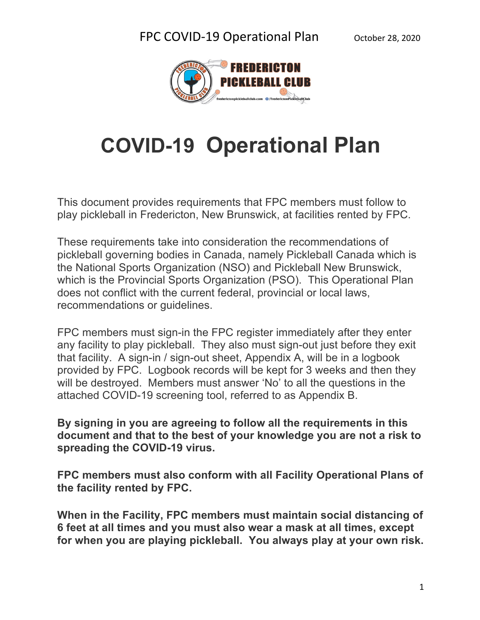

# **COVID-19 Operational Plan**

This document provides requirements that FPC members must follow to play pickleball in Fredericton, New Brunswick, at facilities rented by FPC.

These requirements take into consideration the recommendations of pickleball governing bodies in Canada, namely Pickleball Canada which is the National Sports Organization (NSO) and Pickleball New Brunswick, which is the Provincial Sports Organization (PSO). This Operational Plan does not conflict with the current federal, provincial or local laws, recommendations or guidelines.

FPC members must sign-in the FPC register immediately after they enter any facility to play pickleball. They also must sign-out just before they exit that facility. A sign-in / sign-out sheet, Appendix A, will be in a logbook provided by FPC. Logbook records will be kept for 3 weeks and then they will be destroyed. Members must answer 'No' to all the questions in the attached COVID-19 screening tool, referred to as Appendix B.

**By signing in you are agreeing to follow all the requirements in this document and that to the best of your knowledge you are not a risk to spreading the COVID-19 virus.**

**FPC members must also conform with all Facility Operational Plans of the facility rented by FPC.**

**When in the Facility, FPC members must maintain social distancing of 6 feet at all times and you must also wear a mask at all times, except for when you are playing pickleball. You always play at your own risk.**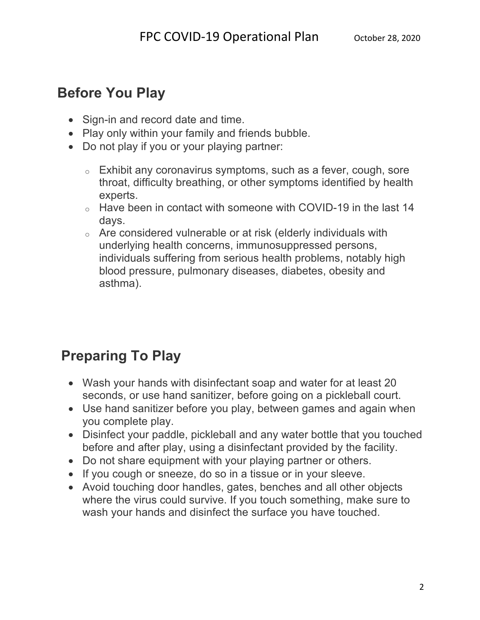### **Before You Play**

- Sign-in and record date and time.
- Play only within your family and friends bubble.
- Do not play if you or your playing partner:
	- o Exhibit any coronavirus symptoms, such as a fever, cough, sore throat, difficulty breathing, or other symptoms identified by health experts.
	- o Have been in contact with someone with COVID-19 in the last 14 days.
	- o Are considered vulnerable or at risk (elderly individuals with underlying health concerns, immunosuppressed persons, individuals suffering from serious health problems, notably high blood pressure, pulmonary diseases, diabetes, obesity and asthma).

## **Preparing To Play**

- Wash your hands with disinfectant soap and water for at least 20 seconds, or use hand sanitizer, before going on a pickleball court.
- Use hand sanitizer before you play, between games and again when you complete play.
- Disinfect your paddle, pickleball and any water bottle that you touched before and after play, using a disinfectant provided by the facility.
- Do not share equipment with your playing partner or others.
- If you cough or sneeze, do so in a tissue or in your sleeve.
- Avoid touching door handles, gates, benches and all other objects where the virus could survive. If you touch something, make sure to wash your hands and disinfect the surface you have touched.